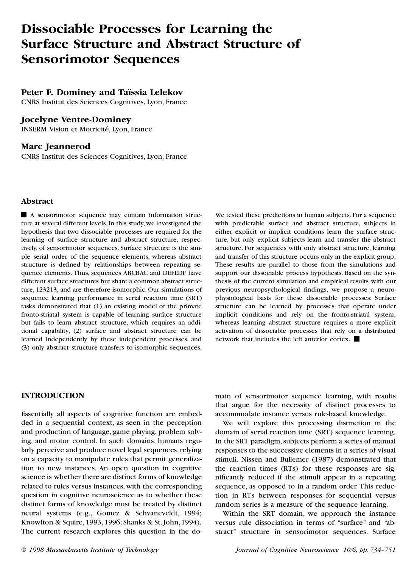# **Dissociable Processes for Learning the Surface Structure and Abstract Structure of Sensorimotor Sequences**

# **Peter F. Dominey and Taïssia Lelekov**

CNRS Institut des Sciences Cognitives, Lyon, France

## **Jocelyne Ventre-Dominey**

INSERM Vision et Motricité, Lyon, France

## **Marc Jeannerod**

CNRS Institut des Sciences Cognitives, Lyon, France

#### **Abstract**

A sensorimotor sequence may contain information structure at several different levels. In this study, we investigated the hypothesis that two dissociable processes are required for the learning of surface structure and abstract structure, respectively, of sensorimotor sequences. Surface structure is the simple serial order of the sequence elements, whereas abstract structure is defined by relationships between repeating sequence elements. Thus, sequences ABCBAC and DEFEDF have different surface structures but share a common abstract structure, 123213, and are therefore isomorphic. Our simulations of sequence learning performance in serial reaction time (SRT) tasks demonstrated that (1) an existing model of the primate fronto-striatal system is capable of learning surface structure but fails to learn abstract structure, which requires an additional capability, (2) surface and abstract structure can be learned independently by these independent processes, and (3) only abstract structure transfers to isomorphic sequences.

We tested these predictions in human subjects. For a sequence with predictable surface and abstract structure, subjects in either explicit or implicit conditions learn the surface structure, but only explicit subjects learn and transfer the abstract structure. For sequences with only abstract structure, learning and transfer of this structure occurs only in the explicit group. These results are parallel to those from the simulations and support our dissociable process hypothesis. Based on the synthesis of the current simulation and empirical results with our previous neuropsychological findings, we propose a neurophysiological basis for these dissociable processes: Surface structure can be learned by processes that operate under implicit conditions and rely on the fronto-striatal system, whereas learning abstract structure requires a more explicit activation of dissociable processes that rely on a distributed network that includes the left anterior cortex.

# **INTRODUCTION**

Essentially all aspects of cognitive function are embedded in a sequential context, as seen in the perception and production of language, game playing, problem solving, and motor control. In such domains, humans regularly perceive and produce novel legal sequences, relying on a capacity to manipulate rules that permit generalization to new instances. An open question in cognitive science is whether there are distinct forms of knowledge related to rules versus instances, with the corresponding question in cognitive neuroscience as to whether these distinct forms of knowledge must be treated by distinct neural systems (e.g., Gomez & Schvaneveldt, 1994; Knowlton & Squire, 1993, 1996; Shanks & St.John,1994). The current research explores this question in the domain of sensorimotor sequence learning, with results that argue for the necessity of distinct processes to accommodate instance versus rule-based knowledge.

We will explore this processing distinction in the domain of serial reaction time (SRT) sequence learning. In the SRT paradigm, subjects perform a series of manual responses to the successive elements in a series of visual stimuli. Nissen and Bullemer (1987) demonstrated that the reaction times (RTs) for these responses are signicantly reduced if the stimuli appear in a repeating sequence, as opposed to in a random order. This reduction in RTs between responses for sequential versus random series is a measure of the sequence learning.

Within the SRT domain, we approach the instance versus rule dissociation in terms of "surface" and "abstract" structure in sensorimotor sequences. Surface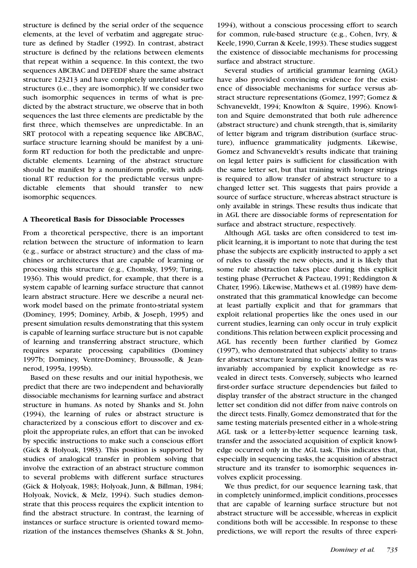structure is defined by the serial order of the sequence elements, at the level of verbatim and aggregate structure as defined by Stadler (1992). In contrast, abstract structure is defined by the relations between elements that repeat within a sequence. In this context, the two sequences ABCBAC and DEFEDF share the same abstract structure 123213 and have completely unrelated surface structures (i.e., they are isomorphic). If we consider two such isomorphic sequences in terms of what is predicted by the abstract structure, we observe that in both sequences the last three elements are predictable by the first three, which themselves are unpredictable. In an SRT protocol with a repeating sequence like ABCBAC, surface structure learning should be manifest by a uniform RT reduction for both the predictable and unpredictable elements. Learning of the abstract structure should be manifest by a nonuniform profile, with additional RT reduction for the predictable versus unpredictable elements that should transfer to new isomorphic sequences.

#### **A Theoretical Basis for Dissociable Processes**

From a theoretical perspective, there is an important relation between the structure of information to learn (e.g., surface or abstract structure) and the class of machines or architectures that are capable of learning or processing this structure (e.g., Chomsky, 1959; Turing, 1936). This would predict, for example, that there is a system capable of learning surface structure that cannot learn abstract structure. Here we describe a neural network model based on the primate fronto-striatal system (Dominey, 1995; Dominey, Arbib, & Joseph, 1995) and present simulation results demonstrating that this system is capable of learning surface structure but is not capable of learning and transferring abstract structure, which requires separate processing capabilities (Dominey 1997b; Dominey, Ventre-Dominey, Broussolle, & Jeannerod, 1995a, 1995b).

Based on these results and our initial hypothesis, we predict that there are two independent and behaviorally dissociable mechanisms for learning surface and abstract structure in humans. As noted by Shanks and St. John (1994), the learning of rules or abstract structure is characterized by a conscious effort to discover and exploit the appropriate rules, an effort that can be invoked by specific instructions to make such a conscious effort (Gick & Holyoak, 1983). This position is supported by studies of analogical transfer in problem solving that involve the extraction of an abstract structure common to several problems with different surface structures (Gick & Holyoak, 1983; Holyoak, Junn, & Billman, 1984; Holyoak, Novick, & Melz, 1994). Such studies demonstrate that this process requires the explicit intention to find the abstract structure. In contrast, the learning of instances or surface structure is oriented toward memorization of the instances themselves (Shanks & St. John,

1994), without a conscious processing effort to search for common, rule-based structure (e.g., Cohen, Ivry, & Keele, 1990, Curran & Keele, 1993). These studies suggest the existence of dissociable mechanisms for processing surface and abstract structure.

Several studies of artificial grammar learning (AGL) have also provided convincing evidence for the existence of dissociable mechanisms for surface versus abstract structure representations (Gomez, 1997; Gomez & Schvaneveldt, 1994; Knowlton & Squire, 1996). Knowlton and Squire demonstrated that both rule adherence (abstract structure) and chunk strength, that is, similarity of letter bigram and trigram distribution (surface structure), influence grammaticality judgments. Likewise, Gomez and Schvaneveldt's results indicate that training on legal letter pairs is sufficient for classification with the same letter set, but that training with longer strings is required to allow transfer of abstract structure to a changed letter set. This suggests that pairs provide a source of surface structure, whereas abstract structure is only available in strings. These results thus indicate that in AGL there are dissociable forms of representation for surface and abstract structure, respectively.

Although AGL tasks are often considered to test implicit learning, it is important to note that during the test phase the subjects are explicitly instructed to apply a set of rules to classify the new objects, and it is likely that some rule abstraction takes place during this explicit testing phase (Perruchet & Pacteau, 1991; Reddington & Chater, 1996). Likewise, Mathews et al. (1989) have demonstrated that this grammatical knowledge can become at least partially explicit and that for grammars that exploit relational properties like the ones used in our current studies, learning can only occur in truly explicit conditions.This relation between explicit processing and AGL has recently been further clarified by Gomez (1997), who demonstrated that subjects' ability to transfer abstract structure learning to changed letter sets was invariably accompanied by explicit knowledge as revealed in direct tests. Conversely, subjects who learned first-order surface structure dependencies but failed to display transfer of the abstract structure in the changed letter set condition did not differ from naive controls on the direct tests. Finally, Gomez demonstrated that for the same testing materials presented either in a whole-string AGL task or a letter-by-letter sequence learning task, transfer and the associated acquisition of explicit knowledge occurred only in the AGL task. This indicates that, especially in sequencing tasks, the acquisition of abstract structure and its transfer to isomorphic sequences involves explicit processing.

We thus predict, for our sequence learning task, that in completely uninformed, implicit conditions, processes that are capable of learning surface structure but not abstract structure will be accessible, whereas in explicit conditions both will be accessible. In response to these predictions, we will report the results of three experi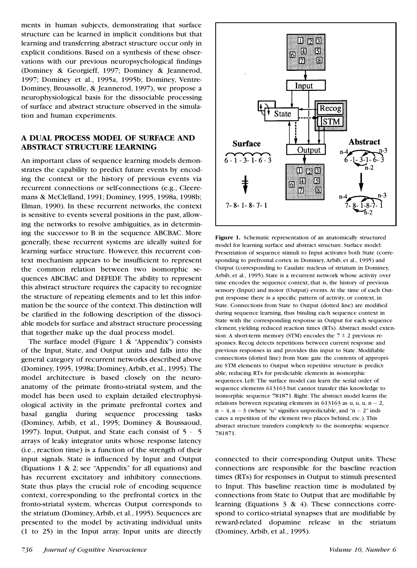ments in human subjects, demonstrating that surface structure can be learned in implicit conditions but that learning and transferring abstract structure occur only in explicit conditions. Based on a synthesis of these observations with our previous neuropsychological findings (Dominey & Georgieff, 1997; Dominey & Jeannerod, 1997; Dominey et al., 1995a, 1995b; Dominey, Ventre-Dominey, Broussolle, & Jeannerod, 1997), we propose a neurophysiological basis for the dissociable processing of surface and abstract structure observed in the simulation and human experiments.

## **A DUAL PROCESS MODEL OF SURFACE AND ABSTRACT STRUCTURE LEARNING**

An important class of sequence learning models demonstrates the capability to predict future events by encoding the context or the history of previous events via recurrent connections or self-connections (e.g., Cleeremans & McClelland, 1991; Dominey, 1995, 1998a, 1998b; Elman, 1990). In these recurrent networks, the context is sensitive to events several positions in the past, allowing the networks to resolve ambiguities, as in determining the successor to B in the sequence ABCBAC. More generally, these recurrent systems are ideally suited for learning surface structure. However, this recurrent context mechanism appears to be insufficient to represent the common relation between two isomorphic sequences ABCBAC and DEFEDF. The ability to represent this abstract structure requires the capacity to recognize the structure of repeating elements and to let this information be the source of the context.This distinction will be clarified in the following description of the dissociable models for surface and abstract structure processing that together make up the dual process model.

The surface model (Figure 1 & "Appendix") consists of the Input, State, and Output units and falls into the general category of recurrent networks described above (Dominey, 1995, 1998a; Dominey,Arbib, et al., 1995). The model architecture is based closely on the neuroanatomy of the primate fronto-striatal system, and the model has been used to explain detailed electrophysiological activity in the primate prefrontal cortex and basal ganglia during sequence processing tasks (Dominey, Arbib, et al., 1995; Dominey & Boussaoud, 1997). Input, Output, and State each consist of  $5 \cdot 5$ arrays of leaky integrator units whose response latency (i.e., reaction time) is a function of the strength of their input signals. State is influenced by Input and Output (Equations 1 & 2; see "Appendix" for all equations) and has recurrent excitatory and inhibitory connections. State thus plays the crucial role of encoding sequence context, corresponding to the prefrontal cortex in the fronto-striatal system, whereas Output corresponds to the striatum (Dominey,Arbib, et al., 1995). Sequences are presented to the model by activating individual units (1 to 25) in the Input array. Input units are directly



**Figure 1.** Schematic representation of an anatomically structured model for learning surface and abstract structure. Surface model: Presentation of sequence stimuli to Input activates both State (corresponding to prefrontal cortex in Dominey, Arbib, et al., 1995) and Output (corresponding to Caudate nucleus of striatum in Dominey, Arbib, et al., 1995). State is a recurrent network whose activity over time encodes the sequence context, that is, the history of previous sensory (Input) and motor (Output) events. At the time of each Output response there is a specific pattern of activity, or context, in State. Connections from State to Output (dotted line) are modified during sequence learning, thus binding each sequence context in State with the corresponding response in Output for each sequence element, yielding reduced reaction times (RTs). Abstract model extension: A short-term memory (STM) encodes the  $7 \pm 2$  previous responses. Recog detects repetitions between current response and previous responses in and provides this input to State. Modifiable connections (dotted line) from State gate the contents of appropri ate STM elements to Output when repetitive structure is predictable, reducing RTs for predictable elements in isomorphic sequences. Left: The surface model can learn the serial order of sequence elements 613163 but cannot transfer this knowledge to isomorphic sequence 781871.Right: The abstract model learns the relations between repeating elements in 613163 as u, u, u, n – 2,  $n - 4$ ,  $n - 3$  (where "u" signifies unpredictable, and " $n - 2$ " indicates a repetition of the element two places behind, etc.). This abstract structure transfers completely to the isomorphic sequence 781871.

connected to their corresponding Output units. These connections are responsible for the baseline reaction times (RTs) for responses in Output to stimuli presented to Input. This baseline reaction time is modulated by connections from State to Output that are modifiable by learning (Equations 3 & 4). These connections correspond to cortico-striatal synapses that are modifiable by reward-related dopamine release in the striatum (Dominey, Arbib, et al., 1995).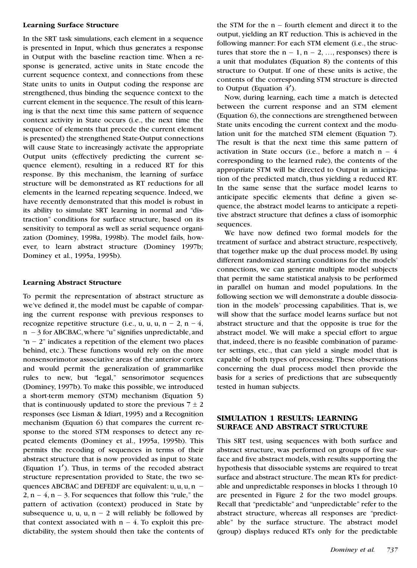#### **Learning Surface Structure**

In the SRT task simulations, each element in a sequence is presented in Input, which thus generates a response in Output with the baseline reaction time. When a response is generated, active units in State encode the current sequence context, and connections from these State units to units in Output coding the response are strengthened, thus binding the sequence context to the current element in the sequence. The result of this learning is that the next time this same pattern of sequence context activity in State occurs (i.e., the next time the sequence of elements that precede the current element is presented) the strengthened State-Output connections will cause State to increasingly activate the appropriate Output units (effectively predicting the current sequence element), resulting in a reduced RT for this response. By this mechanism, the learning of surface structure will be demonstrated as RT reductions for all elements in the learned repeating sequence. Indeed, we have recently demonstrated that this model is robust in its ability to simulate SRT learning in normal and "distraction" conditions for surface structure, based on its sensitivity to temporal as well as serial sequence organization (Dominey, 1998a, 1998b). The model fails, however, to learn abstract structure (Dominey 1997b; Dominey et al., 1995a, 1995b).

#### **Learning Abstract Structure**

To permit the representation of abstract structure as we've defined it, the model must be capable of comparing the current response with previous responses to recognize repetitive structure (i.e., u, u, u, n – 2, n – 4,  $n - 3$  for ABCBAC, where "u" signifies unpredictable, and " $n - 2$ " indicates a repetition of the element two places behind, etc.). These functions would rely on the more nonsensorimotor associative areas of the anterior cortex and would permit the generalization of grammarlike rules to new, but "legal," sensorimotor sequences (Dominey, 1997b). To make this possible, we introduced a short-term memory (STM) mechanism (Equation 5) that is continuously updated to store the previous  $7 \pm 2$ responses (see Lisman & Idiart, 1995) and a Recognition mechanism (Equation 6) that compares the current response to the stored STM responses to detect any repeated elements (Dominey et al., 1995a, 1995b). This permits the recoding of sequences in terms of their abstract structure that is now provided as input to State (Equation  $1'$ ). Thus, in terms of the recoded abstract structure representation provided to State, the two sequences ABCBAC and DEFEDF are equivalent: u, u, u, n - $2, n - 4, n - 3$ . For sequences that follow this "rule," the pattern of activation (context) produced in State by subsequence u, u, u,  $n - 2$  will reliably be followed by that context associated with  $n - 4$ . To exploit this predictability, the system should then take the contents of the STM for the  $n -$  fourth element and direct it to the output, yielding an RT reduction. This is achieved in the following manner: For each STM element (i.e., the structures that store the  $n - 1$ ,  $n - 2$ , ..., responses) there is a unit that modulates (Equation 8) the contents of this structure to Output. If one of these units is active, the contents of the corresponding STM structure is directed to Output (Equation  $4'$ ).

Now, during learning, each time a match is detected between the current response and an STM element (Equation 6), the connections are strengthened between State units encoding the current context and the modulation unit for the matched STM element (Equation 7). The result is that the next time this same pattern of activation in State occurs (i.e., before a match  $n - 4$ corresponding to the learned rule), the contents of the appropriate STM will be directed to Output in anticipation of the predicted match, thus yielding a reduced RT. In the same sense that the surface model learns to anticipate specific elements that define a given sequence, the abstract model learns to anticipate a repetitive abstract structure that defines a class of isomorphic sequences.

We have now defined two formal models for the treatment of surface and abstract structure, respectively, that together make up the dual process model. By using different randomized starting conditions for the models' connections, we can generate multiple model subjects that permit the same statistical analysis to be performed in parallel on human and model populations. In the following section we will demonstrate a double dissociation in the models' processing capabilities. That is, we will show that the surface model learns surface but not abstract structure and that the opposite is true for the abstract model. We will make a special effort to argue that, indeed, there is no feasible combination of parameter settings, etc., that can yield a single model that is capable of both types of processing. These observations concerning the dual process model then provide the basis for a series of predictions that are subsequently tested in human subjects.

# **SIMULATION 1 RESULTS: LEARNING SURFACE AND ABSTRACT STRUCTURE**

This SRT test, using sequences with both surface and abstract structure, was performed on groups of five surface and five abstract models, with results supporting the hypothesis that dissociable systems are required to treat surface and abstract structure. The mean RTs for predictable and unpredictable responses in blocks 1 through 10 are presented in Figure 2 for the two model groups. Recall that "predictable" and "unpredictable" refer to the abstract structure, whereas all responses are "predictable" by the surface structure. The abstract model (group) displays reduced RTs only for the predictable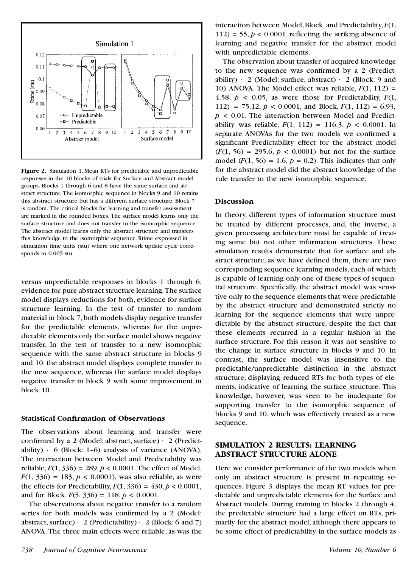

**Figure 2.** Simulation 1. Mean RTs for predictable and unpredictable responses in the 10 blocks of trials for Surface and Abstract model groups. Blocks 1 through 6 and 8 have the same surface and abstract structure. The isomorphic sequence in blocks 9 and 10 retains this abstract structure but has a different surface structure. Block 7 is random. The critical blocks for learning and transfer assessment are marked in the rounded boxes. The surface model learns only the surface structure and does not transfer to the isomorphic sequence. The abstract model learns only the abstract structure and transfers this knowledge to the isomorphic sequence. Rtime expressed in simulation time units (stu) where one network update cycle corresponds to 0.005 stu.

versus unpredictable responses in blocks 1 through 6, evidence for pure abstract structure learning.The surface model displays reductions for both, evidence for surface structure learning. In the test of transfer to random material in block 7, both models display negative transfer for the predictable elements, whereas for the unpredictable elements only the surface model shows negative transfer. In the test of transfer to a new isomorphic sequence with the same abstract structure in blocks 9 and 10, the abstract model displays complete transfer to the new sequence, whereas the surface model displays negative transfer in block 9 with some improvement in block 10.

#### **Statistical Conrmation of Observations**

The observations about learning and transfer were confirmed by a 2 (Model: abstract, surface)  $\cdot$  2 (Predictability)  $\cdot$  6 (Block: 1-6) analysis of variance (ANOVA). The interaction between Model and Predictability was reliable,  $F(1, 336) = 289$ ,  $p < 0.0001$ . The effect of Model,  $F(1, 336) = 183, p < 0.0001$ , was also reliable, as were the effects for Predictability,  $F(1, 336) = 430, p < 0.0001$ , and for Block,  $F(5, 336) = 118$ ,  $p < 0.0001$ .

The observations about negative transfer to a random series for both models was confirmed by a 2 (Model: abstract, surface)  $\cdot$  2 (Predictability)  $\cdot$  2 (Block: 6 and 7) ANOVA. The three main effects were reliable, as was the interaction between Model,Block, and Predictability,*F*(1,  $112$ ) = 55,  $p < 0.0001$ , reflecting the striking absence of learning and negative transfer for the abstract model with unpredictable elements.

The observation about transfer of acquired knowledge to the new sequence was confirmed by a 2 (Predictability)  $\cdot$  2 (Model: surface, abstract)  $\cdot$  2 (Block: 9 and 10) ANOVA. The Model effect was reliable,  $F(1, 112) =$ 4.58,  $p < 0.05$ , as were those for Predictability,  $F(1)$ , 112) = 75.12,  $p < 0.0001$ , and Block,  $F(1, 112) = 6.93$ ,  $p < 0.01$ . The interaction between Model and Predictability was reliable,  $F(1, 112) = 116.3$ ,  $p < 0.0001$ . In separate ANOVAs for the two models we confirmed a significant Predictability effect for the abstract model  $(F(1, 56) = 295.6, p < 0.0001)$  but not for the surface model  $(F(1, 56) = 1.6, p = 0.2)$ . This indicates that only for the abstract model did the abstract knowledge of the rule transfer to the new isomorphic sequence.

#### **Discussion**

In theory, different types of information structure must be treated by different processes, and, the inverse, a given processing architecture must be capable of treating some but not other information structures. These simulation results demonstrate that for surface and abstract structure, as we have defined them, there are two corresponding sequence learning models, each of which is capable of learning only one of these types of sequential structure. Specifically, the abstract model was sensitive only to the sequence elements that were predictable by the abstract structure and demonstrated strictly no learning for the sequence elements that were unpredictable by the abstract structure, despite the fact that these elements recurred in a regular fashion in the surface structure. For this reason it was not sensitive to the change in surface structure in blocks 9 and 10. In contrast, the surface model was insensitive to the predictable/unpredictable distinction in the abstract structure, displaying reduced RTs for both types of elements, indicative of learning the surface structure. This knowledge, however, was seen to be inadequate for supporting transfer to the isomorphic sequence of blocks 9 and 10, which was effectively treated as a new sequence.

# **SIMULATION 2 RESULTS: LEARNING ABSTRACT STRUCTURE ALONE**

Here we consider performance of the two models when only an abstract structure is present in repeating sequences. Figure 3 displays the mean RT values for predictable and unpredictable elements for the Surface and Abstract models. During training in blocks 2 through 4, the predictable structure had a large effect on RTs, primarily for the abstract model, although there appears to be some effect of predictability in the surface models as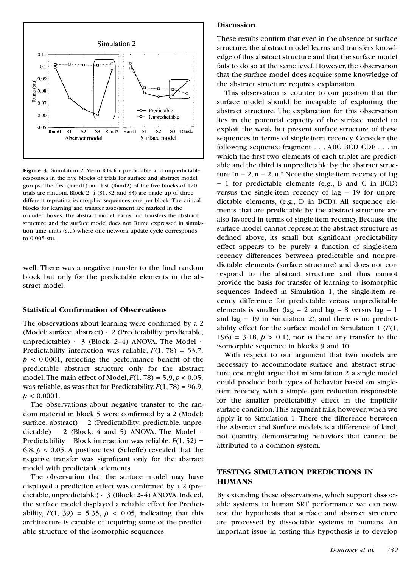

**Figure 3.** Simulation 2. Mean RTs for predictable and unpredictable responses in the five blocks of trials for surface and abstract model groups. The first (Rand1) and last (Rand2) of the five blocks of 120 trials are random. Block 2–4 (S1, S2, and S3) are made up of three different repeating isomorphic sequences, one per block. The critical blocks for learning and transfer assessment are marked in the rounded boxes. The abstract model learns and transfers the abstract structure, and the surface model does not. Rtime expressed in simulation time units (stu) where one network update cycle corresponds to 0.005 stu.

well. There was a negative transfer to the final random block but only for the predictable elements in the abstract model.

#### **Statistical Conrmation of Observations**

The observations about learning were confirmed by a 2 (Model: surface, abstract)  $\cdot$  2 (Predictability: predictable, unpredictable)  $\cdot$  3 (Block: 2-4) ANOVA. The Model  $\cdot$ Predictability interaction was reliable, *F*(1, 78) = 53.7,  $p < 0.0001$ , reflecting the performance benefit of the predictable abstract structure only for the abstract model. The main effect of Model,  $F(1, 78) = 5.9$ ,  $p < 0.05$ , was reliable, as was that for Predictability,  $F(1, 78) = 96.9$ ,  $p < 0.0001$ .

The observations about negative transfer to the random material in block 5 were confirmed by a 2 (Model: surface, abstract)  $\cdot$  2 (Predictability: predictable, unpredictable)  $\cdot$  2 (Block: 4 and 5) ANOVA. The Model  $\cdot$ Predictability  $\cdot$  Block interaction was reliable,  $F(1, 52) =$ 6.8,  $p < 0.05$ . A posthoc test (Scheffe) revealed that the negative transfer was signicant only for the abstract model with predictable elements.

The observation that the surface model may have displayed a prediction effect was confirmed by a 2 (predictable, unpredictable)  $\cdot$  3 (Block: 2–4) ANOVA. Indeed, the surface model displayed a reliable effect for Predictability,  $F(1, 39) = 5.35$ ,  $p < 0.05$ , indicating that this architecture is capable of acquiring some of the predictable structure of the isomorphic sequences.

## **Discussion**

These results confirm that even in the absence of surface structure, the abstract model learns and transfers knowledge of this abstract structure and that the surface model fails to do so at the same level. However, the observation that the surface model does acquire some knowledge of the abstract structure requires explanation.

This observation is counter to our position that the surface model should be incapable of exploiting the abstract structure. The explanation for this observation lies in the potential capacity of the surface model to exploit the weak but present surface structure of these sequences in terms of single-item recency. Consider the following sequence fragment . . . ABC BCD CDE . . . in which the first two elements of each triplet are predictable and the third is unpredictable by the abstract structure " $n - 2$ ,  $n - 2$ ,  $u$ ." Note the single-item recency of lag - 1 for predictable elements (e.g., B and C in BCD) versus the single-item recency of lag  $-19$  for unpredictable elements, (e.g., D in BCD). All sequence elements that are predictable by the abstract structure are also favored in terms of single-item recency. Because the surface model cannot represent the abstract structure as defined above, its small but significant predictability effect appears to be purely a function of single-item recency differences between predictable and nonpredictable elements (surface structure) and does not correspond to the abstract structure and thus cannot provide the basis for transfer of learning to isomorphic sequences. Indeed in Simulation 1, the single-item recency difference for predictable versus unpredictable elements is smaller (lag  $- 2$  and lag  $- 8$  versus lag  $- 1$ and  $\log - 19$  in Simulation 2), and there is no predictability effect for the surface model in Simulation 1 (*F*(1, 196) = 3.18,  $p > 0.1$ , nor is there any transfer to the isomorphic sequence in blocks 9 and 10.

With respect to our argument that two models are necessary to accommodate surface and abstract structure, one might argue that in Simulation 2, a single model could produce both types of behavior based on singleitem recency, with a simple gain reduction responsible for the smaller predictability effect in the implicit/ surface condition. This argument fails, however, when we apply it to Simulation 1. There the difference between the Abstract and Surface models is a difference of kind, not quantity, demonstrating behaviors that cannot be attributed to a common system.

# **TESTING SIMULATION PREDICTIONS IN HUMANS**

By extending these observations, which support dissociable systems, to human SRT performance we can now test the hypothesis that surface and abstract structure are processed by dissociable systems in humans. An important issue in testing this hypothesis is to develop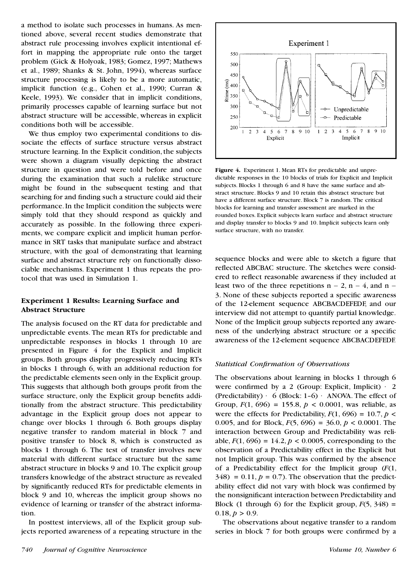a method to isolate such processes in humans. As mentioned above, several recent studies demonstrate that abstract rule processing involves explicit intentional effort in mapping the appropriate rule onto the target problem (Gick & Holyoak, 1983; Gomez, 1997; Mathews et al., 1989; Shanks & St. John, 1994), whereas surface structure processing is likely to be a more automatic, implicit function (e.g., Cohen et al., 1990; Curran & Keele, 1993). We consider that in implicit conditions, primarily processes capable of learning surface but not abstract structure will be accessible, whereas in explicit conditions both will be accessible.

We thus employ two experimental conditions to dissociate the effects of surface structure versus abstract structure learning. In the Explicit condition, the subjects were shown a diagram visually depicting the abstract structure in question and were told before and once during the examination that such a rulelike structure might be found in the subsequent testing and that searching for and finding such a structure could aid their performance.In the Implicit condition the subjects were simply told that they should respond as quickly and accurately as possible. In the following three experiments, we compare explicit and implicit human performance in SRT tasks that manipulate surface and abstract structure, with the goal of demonstrating that learning surface and abstract structure rely on functionally dissociable mechanisms. Experiment 1 thus repeats the protocol that was used in Simulation 1.

## **Experiment 1 Results: Learning Surface and Abstract Structure**

The analysis focused on the RT data for predictable and unpredictable events. The mean RTs for predictable and unpredictable responses in blocks 1 through 10 are presented in Figure 4 for the Explicit and Implicit groups. Both groups display progressively reducing RTs in blocks 1 through 6, with an additional reduction for the predictable elements seen only in the Explicit group. This suggests that although both groups profit from the surface structure, only the Explicit group benefits additionally from the abstract structure. This predictability advantage in the Explicit group does not appear to change over blocks 1 through 6. Both groups display negative transfer to random material in block 7 and positive transfer to block 8, which is constructed as blocks 1 through 6. The test of transfer involves new material with different surface structure but the same abstract structure in blocks 9 and 10. The explicit group transfers knowledge of the abstract structure as revealed by signicantly reduced RTs for predictable elements in block 9 and 10, whereas the implicit group shows no evidence of learning or transfer of the abstract information.

In posttest interviews, all of the Explicit group subjects reported awareness of a repeating structure in the



**Figure 4.** Experiment 1. Mean RTs for predictable and unpredictable responses in the 10 blocks of trials for Explicit and Implicit subjects. Blocks 1 through 6 and 8 have the same surface and abstract structure. Blocks 9 and 10 retain this abstract structure but have a different surface structure. Block 7 is random. The critical blocks for learning and transfer assessment are marked in the rounded boxes. Explicit subjects learn surface and abstract structure and display transfer to blocks 9 and 10. Implicit subjects learn only surface structure, with no transfer.

sequence blocks and were able to sketch a figure that reflected ABCBAC structure. The sketches were considered to reflect reasonable awareness if they included at least two of the three repetitions  $n - 2$ ,  $n - 4$ , and  $n - 1$ 3. None of these subjects reported a specific awareness of the 12-element sequence ABCBACDEFEDF, and our interview did not attempt to quantify partial knowledge. None of the Implicit group subjects reported any awareness of the underlying abstract structure or a specific awareness of the 12-element sequence ABCBACDEFEDF.

#### *Statistical Conrmation of Observations*

The observations about learning in blocks 1 through 6 were confirmed by a 2 (Group: Explicit, Implicit)  $\cdot$  2 (Predictability)  $\cdot$  6 (Block: 1-6)  $\cdot$  ANOVA. The effect of Group,  $F(1, 696) = 155.8$ ,  $p < 0.0001$ , was reliable, as were the effects for Predictability,  $F(1, 696) = 10.7$ ,  $p <$ 0.005, and for Block, *F*(5, 696) = 36.0, *p* < 0.0001. The interaction between Group and Predictability was reliable,  $F(1, 696) = 14.2, p < 0.0005$ , corresponding to the observation of a Predictability effect in the Explicit but not Implicit group. This was confirmed by the absence of a Predictability effect for the Implicit group (*F*(1,  $348$ ) = 0.11,  $p = 0.7$ ). The observation that the predictability effect did not vary with block was confirmed by the nonsignicant interaction between Predictability and Block (1 through 6) for the Explicit group,  $F(5, 348) =$  $0.18, p > 0.9.$ 

The observations about negative transfer to a random series in block 7 for both groups were confirmed by a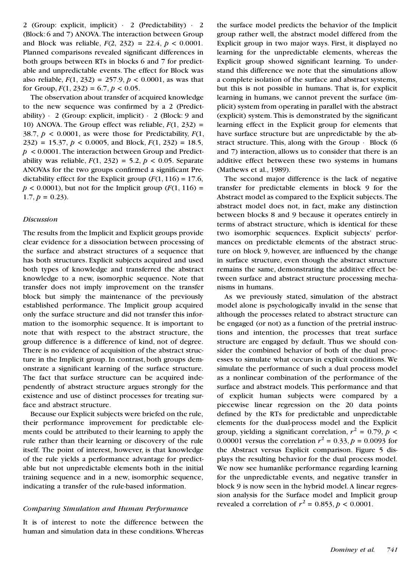2 (Group: explicit, implicit)  $\cdot$  2 (Predictability)  $\cdot$  2 (Block: 6 and 7) ANOVA.The interaction between Group and Block was reliable,  $F(2, 232) = 22.4, p < 0.0001$ . Planned comparisons revealed significant differences in both groups between RTs in blocks 6 and 7 for predictable and unpredictable events. The effect for Block was also reliable,  $F(1, 232) = 257.9$ ,  $p < 0.0001$ , as was that for Group,  $F(1, 232) = 6.7$ ,  $p < 0.05$ .

The observation about transfer of acquired knowledge to the new sequence was confirmed by a 2 (Predictability)  $\cdot$  2 (Group: explicit, implicit)  $\cdot$  2 (Block: 9 and 10) ANOVA. The Group effect was reliable,  $F(1, 232) =$ 38.7,  $p < 0.0001$ , as were those for Predictability,  $F(1)$ , 232) = 15.37,  $p < 0.0005$ , and Block,  $F(1, 232) = 18.5$ , *p* < 0.0001. The interaction between Group and Predictability was reliable,  $F(1, 232) = 5.2$ ,  $p < 0.05$ . Separate ANOVAs for the two groups confirmed a significant Predictability effect for the Explicit group  $(F(1, 116) = 17.6$ ,  $p < 0.0001$ ), but not for the Implicit group ( $F(1, 116) =$  $1.7, p = 0.23$ .

#### *Discussion*

The results from the Implicit and Explicit groups provide clear evidence for a dissociation between processing of the surface and abstract structures of a sequence that has both structures. Explicit subjects acquired and used both types of knowledge and transferred the abstract knowledge to a new, isomorphic sequence. Note that transfer does not imply improvement on the transfer block but simply the maintenance of the previously established performance. The Implicit group acquired only the surface structure and did not transfer this information to the isomorphic sequence. It is important to note that with respect to the abstract structure, the group difference is a difference of kind, not of degree. There is no evidence of acquisition of the abstract structure in the Implicit group. In contrast, both groups demonstrate a signicant learning of the surface structure. The fact that surface structure can be acquired independently of abstract structure argues strongly for the existence and use of distinct processes for treating surface and abstract structure.

Because our Explicit subjects were briefed on the rule, their performance improvement for predictable elements could be attributed to their learning to apply the rule rather than their learning or discovery of the rule itself. The point of interest, however, is that knowledge of the rule yields a performance advantage for predictable but not unpredictable elements both in the initial training sequence and in a new, isomorphic sequence, indicating a transfer of the rule-based information.

#### *Comparing Simulation and Human Performance*

It is of interest to note the difference between the human and simulation data in these conditions.Whereas the surface model predicts the behavior of the Implicit group rather well, the abstract model differed from the Explicit group in two major ways. First, it displayed no learning for the unpredictable elements, whereas the Explicit group showed significant learning. To understand this difference we note that the simulations allow a complete isolation of the surface and abstract systems, but this is not possible in humans. That is, for explicit learning in humans, we cannot prevent the surface (implicit) system from operating in parallel with the abstract (explicit) system. This is demonstrated by the signicant learning effect in the Explicit group for elements that have surface structure but are unpredictable by the abstract structure. This, along with the Group  $\cdot$  Block (6 and 7) interaction, allows us to consider that there is an additive effect between these two systems in humans (Mathews et al., 1989).

The second major difference is the lack of negative transfer for predictable elements in block 9 for the Abstract model as compared to the Explicit subjects.The abstract model does not, in fact, make any distinction between blocks 8 and 9 because it operates entirely in terms of abstract structure, which is identical for these two isomorphic sequences. Explicit subjects' performances on predictable elements of the abstract structure on block 9, however, are influenced by the change in surface structure, even though the abstract structure remains the same, demonstrating the additive effect between surface and abstract structure processing mechanisms in humans.

As we previously stated, simulation of the abstract model alone is psychologically invalid in the sense that although the processes related to abstract structure can be engaged (or not) as a function of the pretrial instructions and intention, the processes that treat surface structure are engaged by default. Thus we should consider the combined behavior of both of the dual processes to simulate what occurs in explicit conditions. We simulate the performance of such a dual process model as a nonlinear combination of the performance of the surface and abstract models. This performance and that of explicit human subjects were compared by a piecewise linear regression on the 20 data points defined by the RTs for predictable and unpredictable elements for the dual-process model and the Explicit group, yielding a significant correlation,  $r^2 = 0.79$ ,  $p <$ 0.00001 versus the correlation  $r^2 = 0.33$ ,  $p = 0.0093$  for the Abstract versus Explicit comparison. Figure 5 displays the resulting behavior for the dual process model. We now see humanlike performance regarding learning for the unpredictable events, and negative transfer in block 9 is now seen in the hybrid model.A linear regression analysis for the Surface model and Implicit group revealed a correlation of  $r^2 = 0.853$ ,  $p < 0.0001$ .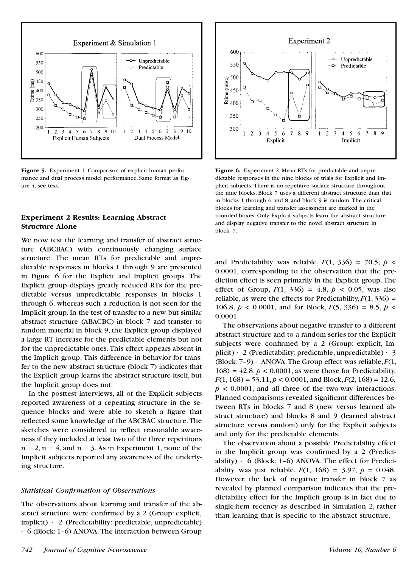

**Figure 5.** Experiment 1. Comparison of explicit human perfor mance and dual process model performance. Same format as Fig ure 4, see text.

## **Experiment 2 Results: Learning Abstract Structure Alone**

We now test the learning and transfer of abstract structure (ABCBAC) with continuously changing surface structure. The mean RTs for predictable and unpredictable responses in blocks 1 through 9 are presented in Figure 6 for the Explicit and Implicit groups. The Explicit group displays greatly reduced RTs for the predictable versus unpredictable responses in blocks 1 through 6, whereas such a reduction is not seen for the Implicit group. In the test of transfer to a new but similar abstract structure (ABACBC) in block 7 and transfer to random material in block 9, the Explicit group displayed a large RT increase for the predictable elements but not for the unpredictable ones. This effect appears absent in the Implicit group. This difference in behavior for transfer to the new abstract structure (block 7) indicates that the Explicit group learns the abstract structure itself, but the Implicit group does not.

In the posttest interviews, all of the Explicit subjects reported awareness of a repeating structure in the sequence blocks and were able to sketch a figure that reflected some knowledge of the ABCBAC structure. The sketches were considered to reflect reasonable awareness if they included at least two of the three repetitions  $n-2$ ,  $n-4$ , and  $n-3$ . As in Experiment 1, none of the Implicit subjects reported any awareness of the underlying structure.

#### *Statistical Conrmation of Observations*

The observations about learning and transfer of the abstract structure were confirmed by a 2 (Group: explicit,  $implicit) \cdot 2$  (Predictability: predictable, unpredictable)  $\cdot$  6 (Block: 1–6) ANOVA. The interaction between Group



**Figure 6.** Experiment 2. Mean RTs for predictable and unpredictable responses in the nine blocks of trials for Explicit and Implicit subjects. There is no repetitive surface structure throughout the nine blocks. Block 7 uses a different abstract structure than that in blocks 1 through 6 and 8, and block 9 is random. The critical blocks for learning and transfer assessment are marked in the rounded boxes. Only Explicit subjects learn the abstract structure and display negative transfer to the novel abstract structure in block 7.

and Predictability was reliable,  $F(1, 336) = 70.5$ ,  $p <$ 0.0001, corresponding to the observation that the prediction effect is seen primarily in the Explicit group. The effect of Group,  $F(1, 336) = 4.8$ ,  $p < 0.05$ , was also reliable, as were the effects for Predictability,  $F(1, 336) =$ 106.8,  $p < 0.0001$ , and for Block,  $F(5, 336) = 8.5$ ,  $p <$ 0.0001.

The observations about negative transfer to a different abstract structure and to a random series for the Explicit subjects were confirmed by a 2 (Group: explicit, Implicit)  $\cdot$  2 (Predictability: predictable, unpredictable)  $\cdot$  3 (Block:  $7-9$ )  $\cdot$  ANOVA. The Group effect was reliable,  $F(1, 1)$  $168$ ) =  $42.8$ ,  $p < 0.0001$ , as were those for Predictability,  $F(1, 168) = 53.11, p < 0.0001$ , and Block,  $F(2, 168) = 12.6$ ,  $p < 0.0001$ , and all three of the two-way interactions. Planned comparisons revealed significant differences between RTs in blocks 7 and 8 (new versus learned abstract structure) and blocks 8 and 9 (learned abstract structure versus random) only for the Explicit subjects and only for the predictable elements.

The observation about a possible Predictability effect in the Implicit group was confirmed by a 2 (Predictability)  $\cdot$  6 (Block: 1–6) ANOVA. The effect for Predictability was just reliable,  $F(1, 168) = 3.97$ ,  $p = 0.048$ . However, the lack of negative transfer in block 7 as revealed by planned comparison indicates that the predictability effect for the Implicit group is in fact due to single-item recency as described in Simulation 2, rather than learning that is specific to the abstract structure.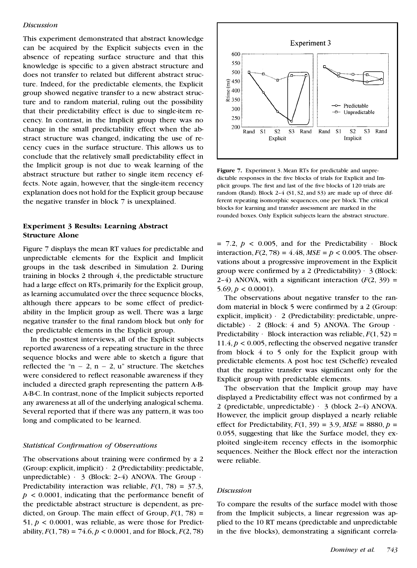#### *Discussion*

This experiment demonstrated that abstract knowledge can be acquired by the Explicit subjects even in the absence of repeating surface structure and that this knowledge is specific to a given abstract structure and does not transfer to related but different abstract structure. Indeed, for the predictable elements, the Explicit group showed negative transfer to a new abstract structure and to random material, ruling out the possibility that their predictability effect is due to single-item recency. In contrast, in the Implicit group there was no change in the small predictability effect when the abstract structure was changed, indicating the use of recency cues in the surface structure. This allows us to conclude that the relatively small predictability effect in the Implicit group is not due to weak learning of the abstract structure but rather to single item recency effects. Note again, however, that the single-item recency explanation does not hold for the Explicit group because the negative transfer in block 7 is unexplained.

## **Experiment 3 Results: Learning Abstract Structure Alone**

Figure 7 displays the mean RT values for predictable and unpredictable elements for the Explicit and Implicit groups in the task described in Simulation 2. During training in blocks 2 through 4, the predictable structure had a large effect on RTs, primarily for the Explicit group, as learning accumulated over the three sequence blocks, although there appears to be some effect of predictability in the Implicit group as well. There was a large negative transfer to the final random block but only for the predictable elements in the Explicit group.

In the posttest interviews, all of the Explicit subjects reported awareness of a repeating structure in the three sequence blocks and were able to sketch a figure that reflected the " $n - 2$ ,  $n - 2$ , u" structure. The sketches were considered to reflect reasonable awareness if they included a directed graph representing the pattern A-B-A-B-C. In contrast, none of the Implicit subjects reported any awareness at all of the underlying analogical schema. Several reported that if there was any pattern, it was too long and complicated to be learned.

#### *Statistical Conrmation of Observations*

The observations about training were confirmed by a 2 (Group: explicit, implicit) × 2 (Predictability: predictable, unpredictable)  $\cdot$  3 (Block: 2-4) ANOVA. The Group  $\cdot$ Predictability interaction was reliable, *F*(1, 78) = 37.3,  $p < 0.0001$ , indicating that the performance benefit of the predictable abstract structure is dependent, as predicted, on Group. The main effect of Group,  $F(1, 78) =$ 51,  $p < 0.0001$ , was reliable, as were those for Predictability,  $F(1, 78) = 74.6$ ,  $p < 0.0001$ , and for Block,  $F(2, 78)$ 



**Figure 7.** Experiment 3. Mean RTs for predictable and unpredictable responses in the five blocks of trials for Explicit and Implicit groups. The first and last of the five blocks of 120 trials are random (Rand). Block 2–4 (S1, S2, and S3) are made up of three different repeating isomorphic sequences, one per block. The critical blocks for learning and transfer assessment are marked in the rounded boxes. Only Explicit subjects learn the abstract structure.

 $= 7.2, p < 0.005$ , and for the Predictability  $\cdot$  Block interaction,  $F(2, 78) = 4.48$ ,  $MSE = p < 0.005$ . The observations about a progressive improvement in the Explicit group were confirmed by a 2 (Predictability)  $\cdot$  3 (Block:  $2-4$ ) ANOVA, with a significant interaction  $(F(2, 39)) =$ 5.69,  $p < 0.0001$ ).

The observations about negative transfer to the random material in block 5 were confirmed by a 2 (Group: explicit, implicit)  $\cdot$  2 (Predictability: predictable, unpredictable)  $\cdot$  2 (Block: 4 and 5) ANOVA. The Group  $\cdot$ Predictability  $\cdot$  Block interaction was reliable,  $F(1, 52) =$ 11.4,  $p < 0.005$ , reflecting the observed negative transfer from block 4 to 5 only for the Explicit group with predictable elements. A post hoc test (Scheffe) revealed that the negative transfer was signicant only for the Explicit group with predictable elements.

The observation that the Implicit group may have displayed a Predictability effect was not confirmed by a 2 (predictable, unpredictable)  $\cdot$  3 (block 2-4) ANOVA. However, the implicit group displayed a nearly reliable effect for Predictability,  $F(1, 39) = 3.9$ ,  $MSE = 8880$ ,  $p =$ 0.055, suggesting that like the Surface model, they exploited single-item recency effects in the isomorphic sequences. Neither the Block effect nor the interaction were reliable.

#### *Discussion*

To compare the results of the surface model with those from the Implicit subjects, a linear regression was applied to the 10 RT means (predictable and unpredictable in the five blocks), demonstrating a significant correla-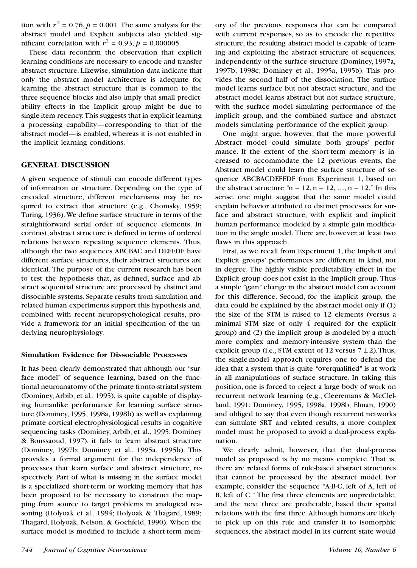tion with  $r^2 = 0.76$ ,  $p = 0.001$ . The same analysis for the abstract model and Explicit subjects also yielded significant correlation with  $r^2 = 0.93$ ,  $p = 0.000005$ .

These data reconfirm the observation that explicit learning conditions are necessary to encode and transfer abstract structure. Likewise,simulation data indicate that only the abstract model architecture is adequate for learning the abstract structure that is common to the three sequence blocks and also imply that small predictability effects in the Implicit group might be due to single-item recency.This suggests that in explicit learning a processing capability—corresponding to that of the abstract model—is enabled, whereas it is not enabled in the implicit learning conditions.

## **GENERAL DISCUSSION**

A given sequence of stimuli can encode different types of information or structure. Depending on the type of encoded structure, different mechanisms may be required to extract that structure (e.g., Chomsky, 1959; Turing, 1936). We define surface structure in terms of the straightforward serial order of sequence elements. In contrast, abstract structure is defined in terms of ordered relations between repeating sequence elements. Thus, although the two sequences ABCBAC and DEFEDF have different surface structures, their abstract structures are identical. The purpose of the current research has been to test the hypothesis that, as defined, surface and abstract sequential structure are processed by distinct and dissociable systems. Separate results from simulation and related human experiments support this hypothesis and, combined with recent neuropsychological results, provide a framework for an initial specification of the underlying neurophysiology.

## **Simulation Evidence for Dissociable Processes**

It has been clearly demonstrated that although our "surface model" of sequence learning, based on the functional neuroanatomy of the primate fronto-striatal system (Dominey, Arbib, et al., 1995), is quite capable of displaying humanlike performance for learning surface structure (Dominey, 1995, 1998a, 1998b) as well as explaining primate cortical electrophysiological results in cognitive sequencing tasks (Dominey, Arbib, et al., 1995; Dominey & Boussaoud, 1997), it fails to learn abstract structure (Dominey, 1997b; Dominey et al., 1995a, 1995b). This provides a formal argument for the independence of processes that learn surface and abstract structure, respectively. Part of what is missing in the surface model is a specialized short-term or working memory that has been proposed to be necessary to construct the mapping from source to target problems in analogical reasoning (Holyoak et al., 1994; Holyoak & Thagard, 1989; Thagard, Holyoak, Nelson, & Gochfeld, 1990). When the surface model is modified to include a short-term memory of the previous responses that can be compared with current responses, so as to encode the repetitive structure, the resulting abstract model is capable of learning and exploiting the abstract structure of sequences, independently of the surface structure (Dominey, 1997a, 1997b, 1998c; Dominey et al., 1995a, 1995b). This provides the second half of the dissociation. The surface model learns surface but not abstract structure, and the abstract model learns abstract but not surface structure, with the surface model simulating performance of the implicit group, and the combined surface and abstract models simulating performance of the explicit group.

One might argue, however, that the more powerful Abstract model could simulate both groups' performance. If the extent of the short-term memory is increased to accommodate the 12 previous events, the Abstract model could learn the surface structure of sequence ABCBACDEFEDF from Experiment 1, based on the abstract structure " $n - 12$ ,  $n - 12$ , ...,  $n - 12$ ." In this sense, one might suggest that the same model could explain behavior attributed to distinct processes for surface and abstract structure, with explicit and implicit human performance modeled by a simple gain modification in the single model. There are, however, at least two flaws in this approach.

First, as we recall from Experiment 1, the Implicit and Explicit groups' performances are different in kind, not in degree. The highly visible predictability effect in the Explicit group does not exist in the Implicit group. Thus a simple "gain" change in the abstract model can account for this difference. Second, for the implicit group, the data could be explained by the abstract model only if (1) the size of the STM is raised to 12 elements (versus a minimal STM size of only 4 required for the explicit group) and (2) the implicit group is modeled by a much more complex and memory-intensive system than the explicit group (i.e., STM extent of 12 versus  $7 \pm 2$ ). Thus, the single-model approach requires one to defend the idea that a system that is quite "overqualified" is at work in all manipulations of surface structure. In taking this position, one is forced to reject a large body of work on recurrent network learning (e.g., Cleeremans & McClelland, 1991; Dominey, 1995, 1998a, 1998b; Elman, 1990) and obliged to say that even though recurrent networks can simulate SRT and related results, a more complex model must be proposed to avoid a dual-process explanation.

We clearly admit, however, that the dual-process model as proposed is by no means complete. That is, there are related forms of rule-based abstract structures that cannot be processed by the abstract model. For example, consider the sequence "A-B-C, left of A, left of B, left of C." The first three elements are unpredictable, and the next three are predictable, based their spatial relations with the first three. Although humans are likely to pick up on this rule and transfer it to isomorphic sequences, the abstract model in its current state would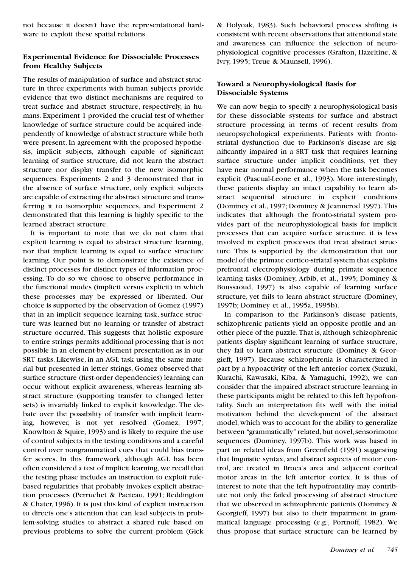not because it doesn't have the representational hardware to exploit these spatial relations.

# **Experimental Evidence for Dissociable Processes from Healthy Subjects**

The results of manipulation of surface and abstract structure in three experiments with human subjects provide evidence that two distinct mechanisms are required to treat surface and abstract structure, respectively, in humans. Experiment 1 provided the crucial test of whether knowledge of surface structure could be acquired independently of knowledge of abstract structure while both were present. In agreement with the proposed hypothesis, implicit subjects, although capable of signicant learning of surface structure, did not learn the abstract structure nor display transfer to the new isomorphic sequences. Experiments 2 and 3 demonstrated that in the absence of surface structure, only explicit subjects are capable of extracting the abstract structure and transferring it to isomorphic sequences, and Experiment 2 demonstrated that this learning is highly specific to the learned abstract structure.

It is important to note that we do not claim that explicit learning is equal to abstract structure learning, nor that implicit learning is equal to surface structure learning. Our point is to demonstrate the existence of distinct processes for distinct types of information processing. To do so we choose to observe performance in the functional modes (implicit versus explicit) in which these processes may be expressed or liberated. Our choice is supported by the observation of Gomez (1997) that in an implicit sequence learning task, surface structure was learned but no learning or transfer of abstract structure occurred. This suggests that holistic exposure to entire strings permits additional processing that is not possible in an element-by-element presentation as in our SRT tasks. Likewise, in an AGL task using the same material but presented in letter strings, Gomez observed that surface structure (first-order dependencies) learning can occur without explicit awareness, whereas learning abstract structure (supporting transfer to changed letter sets) is invariably linked to explicit knowledge. The debate over the possibility of transfer with implicit learning, however, is not yet resolved (Gomez, 1997; Knowlton & Squire, 1993) and is likely to require the use of control subjects in the testing conditions and a careful control over nongrammatical cues that could bias transfer scores. In this framework, although AGL has been often considered a test of implicit learning, we recall that the testing phase includes an instruction to exploit rulebased regularities that probably invokes explicit abstraction processes (Perruchet & Pacteau, 1991; Reddington & Chater, 1996). It is just this kind of explicit instruction to directs one's attention that can lead subjects in problem-solving studies to abstract a shared rule based on previous problems to solve the current problem (Gick & Holyoak, 1983). Such behavioral process shifting is consistent with recent observations that attentional state and awareness can influence the selection of neurophysiological cognitive processes (Grafton, Hazeltine, & Ivry, 1995; Treue & Maunsell, 1996).

# **Toward a Neurophysiological Basis for Dissociable Systems**

We can now begin to specify a neurophysiological basis for these dissociable systems for surface and abstract structure processing in terms of recent results from neuropsychological experiments. Patients with frontostriatal dysfunction due to Parkinson's disease are signicantly impaired in a SRT task that requires learning surface structure under implicit conditions, yet they have near normal performance when the task becomes explicit (Pascual-Leone et al., 1993). More interestingly, these patients display an intact capability to learn abstract sequential structure in explicit conditions (Dominey et al., 1997; Dominey & Jeannerod 1997). This indicates that although the fronto-striatal system provides part of the neurophysiological basis for implicit processes that can acquire surface structure, it is less involved in explicit processes that treat abstract structure. This is supported by the demonstration that our model of the primate cortico-striatal system that explains prefrontal electrophysiology during primate sequence learning tasks (Dominey, Arbib, et al., 1995; Dominey & Boussaoud, 1997) is also capable of learning surface structure, yet fails to learn abstract structure (Dominey, 1997b; Dominey et al., 1995a, 1995b).

In comparison to the Parkinson's disease patients, schizophrenic patients yield an opposite profile and another piece of the puzzle.That is, although schizophrenic patients display significant learning of surface structure, they fail to learn abstract structure (Dominey & Georgieff, 1997). Because schizophrenia is characterized in part by a hypoactivity of the left anterior cortex (Suzuki, Kurachi, Kawasaki, Kiba, & Yamaguchi, 1992), we can consider that the impaired abstract structure learning in these participants might be related to this left hypofrontality. Such an interpretation fits well with the initial motivation behind the development of the abstract model, which was to account for the ability to generalize between "grammatically" related, but novel, sensorimotor sequences (Dominey, 1997b). This work was based in part on related ideas from Greenfield (1991) suggesting that linguistic syntax, and abstract aspects of motor control, are treated in Broca's area and adjacent cortical motor areas in the left anterior cortex. It is thus of interest to note that the left hypofrontality may contribute not only the failed processing of abstract structure that we observed in schizophrenic patients (Dominey & Georgieff, 1997) but also to their impairment in grammatical language processing (e.g., Portnoff, 1982). We thus propose that surface structure can be learned by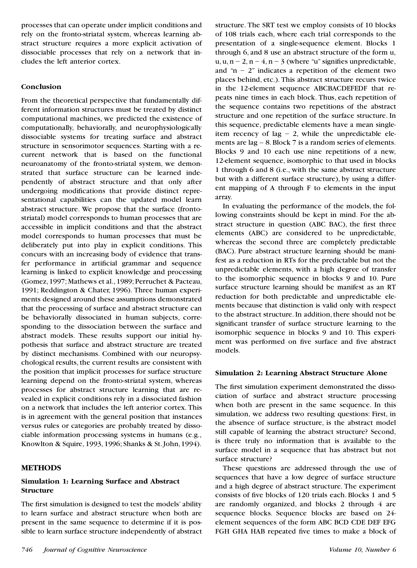processes that can operate under implicit conditions and rely on the fronto-striatal system, whereas learning abstract structure requires a more explicit activation of dissociable processes that rely on a network that includes the left anterior cortex.

# **Conclusion**

From the theoretical perspective that fundamentally different information structures must be treated by distinct computational machines, we predicted the existence of computationally, behaviorally, and neurophysiologically dissociable systems for treating surface and abstract structure in sensorimotor sequences. Starting with a recurrent network that is based on the functional neuroanatomy of the fronto-striatal system, we demonstrated that surface structure can be learned independently of abstract structure and that only after undergoing modifications that provide distinct representational capabilities can the updated model learn abstract structure. We propose that the surface (frontostriatal) model corresponds to human processes that are accessible in implicit conditions and that the abstract model corresponds to human processes that must be deliberately put into play in explicit conditions. This concurs with an increasing body of evidence that transfer performance in artificial grammar and sequence learning is linked to explicit knowledge and processing (Gomez,1997;Mathews et al.,1989; Perruchet & Pacteau, 1991; Reddington & Chater, 1996). Three human experiments designed around these assumptions demonstrated that the processing of surface and abstract structure can be behaviorally dissociated in human subjects, corresponding to the dissociation between the surface and abstract models. These results support our initial hypothesis that surface and abstract structure are treated by distinct mechanisms. Combined with our neuropsychological results, the current results are consistent with the position that implicit processes for surface structure learning depend on the fronto-striatal system, whereas processes for abstract structure learning that are revealed in explicit conditions rely in a dissociated fashion on a network that includes the left anterior cortex. This is in agreement with the general position that instances versus rules or categories are probably treated by dissociable information processing systems in humans (e.g., Knowlton & Squire, 1993, 1996; Shanks & St.John,1994).

# **METHODS**

# **Simulation 1:Learning Surface and Abstract Structure**

The first simulation is designed to test the models' ability to learn surface and abstract structure when both are present in the same sequence to determine if it is possible to learn surface structure independently of abstract

structure. The SRT test we employ consists of 10 blocks of 108 trials each, where each trial corresponds to the presentation of a single-sequence element. Blocks 1 through 6, and 8 use an abstract structure of the form u, u, u, n – 2, n – 4, n – 3 (where "u" signifies unpredictable, and " $n - 2$ " indicates a repetition of the element two places behind, etc.). This abstract structure recurs twice in the 12-element sequence ABCBACDEFEDF that repeats nine times in each block. Thus, each repetition of the sequence contains two repetitions of the abstract structure and one repetition of the surface structure. In this sequence, predictable elements have a mean singleitem recency of lag  $-2$ , while the unpredictable elements are lag – 8. Block 7 is a random series of elements. Blocks 9 and 10 each use nine repetitions of a new, 12-element sequence, isomorphic to that used in blocks 1 through 6 and 8 (i.e., with the same abstract structure but with a different surface structure), by using a different mapping of A through F to elements in the input array.

In evaluating the performance of the models, the following constraints should be kept in mind. For the abstract structure in question (ABC BAC), the first three elements (ABC) are considered to be unpredictable, whereas the second three are completely predictable (BAC). Pure abstract structure learning should be manifest as a reduction in RTs for the predictable but not the unpredictable elements, with a high degree of transfer to the isomorphic sequence in blocks 9 and 10. Pure surface structure learning should be manifest as an RT reduction for both predictable and unpredictable elements because that distinction is valid only with respect to the abstract structure. In addition, there should not be significant transfer of surface structure learning to the isomorphic sequence in blocks 9 and 10. This experiment was performed on five surface and five abstract models.

# **Simulation 2: Learning Abstract Structure Alone**

The first simulation experiment demonstrated the dissociation of surface and abstract structure processing when both are present in the same sequence. In this simulation, we address two resulting questions: First, in the absence of surface structure, is the abstract model still capable of learning the abstract structure? Second, is there truly no information that is available to the surface model in a sequence that has abstract but not surface structure?

These questions are addressed through the use of sequences that have a low degree of surface structure and a high degree of abstract structure. The experiment consists of five blocks of 120 trials each. Blocks 1 and 5 are randomly organized, and blocks 2 through 4 are sequence blocks. Sequence blocks are based on 24 element sequences of the form ABC BCD CDE DEF EFG FGH GHA HAB repeated five times to make a block of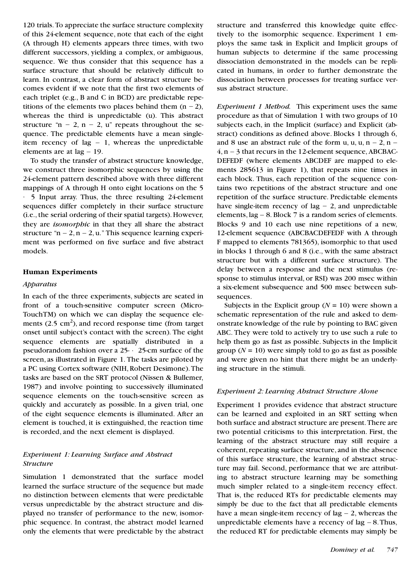120 trials.To appreciate the surface structure complexity of this 24-element sequence, note that each of the eight (A through H) elements appears three times, with two different successors, yielding a complex, or ambiguous, sequence. We thus consider that this sequence has a surface structure that should be relatively difficult to learn. In contrast, a clear form of abstract structure becomes evident if we note that the first two elements of each triplet (e.g., B and C in BCD) are predictable repetitions of the elements two places behind them  $(n - 2)$ , whereas the third is unpredictable (u). This abstract structure " $n - 2$ ,  $n - 2$ ,  $u$ " repeats throughout the sequence. The predictable elements have a mean singleitem recency of lag  $-1$ , whereas the unpredictable elements are at  $lag - 19$ .

To study the transfer of abstract structure knowledge, we construct three isomorphic sequences by using the 24-element pattern described above with three different mappings of A through H onto eight locations on the 5 5 Input array. Thus, the three resulting 24-element sequences differ completely in their surface structure (i.e., the serial ordering of their spatial targets). However, they are *isomorphic* in that they all share the abstract structure " $n - 2$ ,  $n - 2$ ,  $u$ ." This sequence learning experiment was performed on five surface and five abstract models.

## **Human Experiments**

#### *Apparatus*

In each of the three experiments, subjects are seated in front of a touch-sensitive computer screen (Micro-TouchTM) on which we can display the sequence elements  $(2.5 \text{ cm}^2)$ , and record response time (from target onset until subject's contact with the screen). The eight sequence elements are spatially distributed in a pseudorandom fashion over a  $25 - 25$ -cm surface of the screen, as illustrated in Figure 1. The tasks are piloted by a PC using Cortex software (NIH,Robert Desimone).The tasks are based on the SRT protocol (Nissen & Bullemer, 1987) and involve pointing to successively illuminated sequence elements on the touch-sensitive screen as quickly and accurately as possible. In a given trial, one of the eight sequence elements is illuminated. After an element is touched, it is extinguished, the reaction time is recorded, and the next element is displayed.

## *Experiment 1: Learning Surface and Abstract Structure*

Simulation 1 demonstrated that the surface model learned the surface structure of the sequence but made no distinction between elements that were predictable versus unpredictable by the abstract structure and displayed no transfer of performance to the new, isomorphic sequence. In contrast, the abstract model learned only the elements that were predictable by the abstract

structure and transferred this knowledge quite effectively to the isomorphic sequence. Experiment 1 employs the same task in Explicit and Implicit groups of human subjects to determine if the same processing dissociation demonstrated in the models can be replicated in humans, in order to further demonstrate the dissociation between processes for treating surface versus abstract structure.

*Experiment 1 Method.* This experiment uses the same procedure as that of Simulation 1 with two groups of 10 subjects each, in the Implicit (surface) and Explicit (abstract) conditions as defined above. Blocks 1 through 6, and 8 use an abstract rule of the form u, u, u, n – 2, n –  $4, n - 3$  that recurs in the 12-element sequence, ABCBAC-DEFEDF (where elements ABCDEF are mapped to elements 285613 in Figure 1), that repeats nine times in each block. Thus, each repetition of the sequence contains two repetitions of the abstract structure and one repetition of the surface structure. Predictable elements have single-item recency of lag  $-$  2, and unpredictable elements, lag - 8. Block 7 is a random series of elements. Blocks 9 and 10 each use nine repetitions of a new, 12-element sequence (ABCBACDEFEDF with A through F mapped to elements 781365), isomorphic to that used in blocks 1 through 6 and 8 (i.e., with the same abstract structure but with a different surface structure). The delay between a response and the next stimulus (response to stimulus interval, or RSI) was 200 msec within a six-element subsequence and 500 msec between subsequences.

Subjects in the Explicit group  $(N = 10)$  were shown a schematic representation of the rule and asked to demonstrate knowledge of the rule by pointing to BAC given ABC. They were told to actively try to use such a rule to help them go as fast as possible. Subjects in the Implicit group  $(N = 10)$  were simply told to go as fast as possible and were given no hint that there might be an underlying structure in the stimuli.

#### *Experiment 2: Learning Abstract Structure Alone*

Experiment 1 provides evidence that abstract structure can be learned and exploited in an SRT setting when both surface and abstract structure are present.There are two potential criticisms to this interpretation. First, the learning of the abstract structure may still require a coherent, repeating surface structure, and in the absence of this surface structure, the learning of abstract structure may fail. Second, performance that we are attributing to abstract structure learning may be something much simpler related to a single-item recency effect. That is, the reduced RTs for predictable elements may simply be due to the fact that all predictable elements have a mean single-item recency of  $lag - 2$ , whereas the unpredictable elements have a recency of lag  $-8$ . Thus, the reduced RT for predictable elements may simply be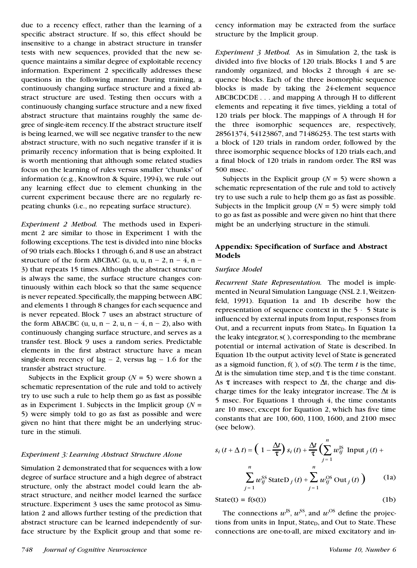due to a recency effect, rather than the learning of a specific abstract structure. If so, this effect should be insensitive to a change in abstract structure in transfer tests with new sequences, provided that the new sequence maintains a similar degree of exploitable recency information. Experiment 2 specifically addresses these questions in the following manner. During training, a continuously changing surface structure and a fixed abstract structure are used. Testing then occurs with a continuously changing surface structure and a new fixed abstract structure that maintains roughly the same degree of single-item recency.If the abstract structure itself is being learned, we will see negative transfer to the new abstract structure, with no such negative transfer if it is primarily recency information that is being exploited. It is worth mentioning that although some related studies focus on the learning of rules versus smaller "chunks" of information (e.g., Knowlton & Squire, 1994), we rule out any learning effect due to element chunking in the current experiment because there are no regularly repeating chunks (i.e., no repeating surface structure).

*Experiment 2 Method.* The methods used in Experiment 2 are similar to those in Experiment 1 with the following exceptions.The test is divided into nine blocks of 90 trials each.Blocks 1 through 6,and 8 use an abstract structure of the form ABCBAC (u, u, u, n – 2, n – 4, n – 3) that repeats 15 times. Although the abstract structure is always the same, the surface structure changes continuously within each block so that the same sequence is never repeated. Specifically, the mapping between ABC and elements 1 through 8 changes for each sequence and is never repeated. Block 7 uses an abstract structure of the form ABACBC (u, u, n – 2, u, n – 4, n – 2), also with continuously changing surface structure, and serves as a transfer test. Block 9 uses a random series. Predictable elements in the first abstract structure have a mean single-item recency of lag  $-2$ , versus lag  $-1.6$  for the transfer abstract structure.

Subjects in the Explicit group  $(N = 5)$  were shown a schematic representation of the rule and told to actively try to use such a rule to help them go as fast as possible as in Experiment 1. Subjects in the Implicit group  $(N =$ 5) were simply told to go as fast as possible and were given no hint that there might be an underlying structure in the stimuli.

#### *Experiment 3: Learning Abstract Structure Alone*

Simulation 2 demonstrated that for sequences with a low degree of surface structure and a high degree of abstract structure, only the abstract model could learn the abstract structure, and neither model learned the surface structure. Experiment 3 uses the same protocol as Simulation 2 and allows further testing of the prediction that abstract structure can be learned independently of surface structure by the Explicit group and that some recency information may be extracted from the surface structure by the Implicit group.

*Experiment 3 Method.* As in Simulation 2, the task is divided into five blocks of 120 trials. Blocks 1 and 5 are randomly organized, and blocks 2 through 4 are sequence blocks. Each of the three isomorphic sequence blocks is made by taking the 24-element sequence ABCBCDCDE . . . and mapping A through H to different elements and repeating it five times, yielding a total of 120 trials per block. The mappings of A through H for the three isomorphic sequences are, respectively, 28561374, 54123867, and 71486253. The test starts with a block of 120 trials in random order, followed by the three isomorphic sequence blocks of 120 trials each, and a final block of 120 trials in random order. The RSI was 500 msec.

Subjects in the Explicit group  $(N = 5)$  were shown a schematic representation of the rule and told to actively try to use such a rule to help them go as fast as possible. Subjects in the Implicit group  $(N = 5)$  were simply told to go as fast as possible and were given no hint that there might be an underlying structure in the stimuli.

# Appendix: Specification of Surface and Abstract **Models**

#### *Surface Model*

*Recurrent State Representation.* The model is implemented in Neural Simulation Language (NSL 2.1,Weitzenfeld, 1991). Equation 1a and 1b describe how the representation of sequence context in the  $5 \cdot 5$  State is influenced by external inputs from Input, responses from Out, and a recurrent inputs from State<sub>D</sub>. In Equation 1a the leaky integrator,s( ), corresponding to the membrane potential or internal activation of State is described. In Equation 1b the output activity level of State is generated as a sigmoid function, f( ), of s(*t*). The term *t* is the time,  $\Delta t$  is the simulation time step, and  $\tau$  is the time constant. As  $\tau$  increases with respect to  $\Delta t$ , the charge and discharge times for the leaky integrator increase. The  $\Delta t$  is 5 msec. For Equations 1 through 4, the time constants are 10 msec, except for Equation 2, which has five time constants that are 100, 600, 1100, 1600, and 2100 msec (see below).

$$
s_i(t + \Delta t) = \left(1 - \frac{\Delta t}{\tau}\right) s_i(t) + \frac{\Delta t}{\tau} \left(\sum_{j=1}^n w_{ij}^{\text{IS}} \text{ Input }_{j}(t) + \sum_{j=1}^n w_{ij}^{\text{SS}} \text{ StateD}_j(t) + \sum_{j=1}^n w_{ij}^{\text{OS}} \text{ Out}_j(t)\right) \tag{1a}
$$

$$
State(t) = f(s(t))
$$
 (1b)

The connections  $w^{\text{IS}}$ ,  $w^{\text{SS}}$ , and  $w^{\text{OS}}$  define the projections from units in Input, State<sub>D</sub>, and Out to State. These connections are one-to-all, are mixed excitatory and in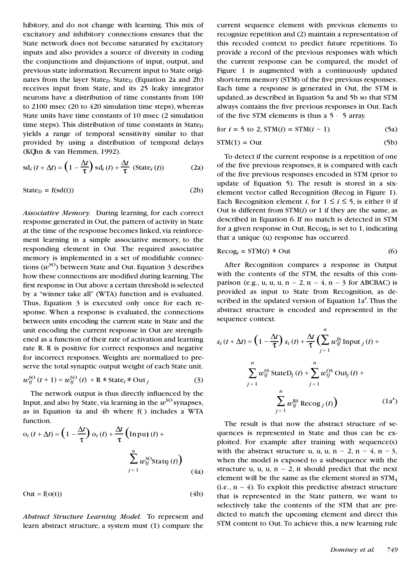hibitory, and do not change with learning. This mix of excitatory and inhibitory connections ensures that the State network does not become saturated by excitatory inputs and also provides a source of diversity in coding the conjunctions and disjunctions of input, output, and previous state information.Recurrent input to State originates from the layer State<sub>D</sub>. State<sub>D</sub> (Equation 2a and 2b) receives input from State, and its 25 leaky integrator neurons have a distribution of time constants from 100 to 2100 msec (20 to 420 simulation time steps), whereas State units have time constants of 10 msec (2 simulation time steps). This distribution of time constants in State $_D$ yields a range of temporal sensitivity similar to that provided by using a distribution of temporal delays (KQhn & van Hemmen, 1992).

$$
sd_i(t + \Delta t) = \left(1 - \frac{\Delta t}{\tau}\right) sd_i(t) + \frac{\Delta t}{\tau} (State_i(t))
$$
 (2a)

$$
State_D = f(sd(t))
$$
 (2b)

*Associative Memory.* During learning, for each correct response generated in Out, the pattern of activity in State at the time of the response becomes linked, via reinforcement learning in a simple associative memory, to the responding element in Out. The required associative memory is implemented in a set of modifiable connections (*w* SO) between State and Out. Equation 3 describes how these connections are modified during learning. The first response in Out above a certain threshold is selected by a "winner take all" (WTA) function and is evaluated. Thus, Equation 3 is executed only once for each response. When a response is evaluated, the connections between units encoding the current state in State and the unit encoding the current response in Out are strengthened as a function of their rate of activation and learning s rate R. R is positive for correct responses and negative for incorrect responses. Weights are normalized to preserve the total synaptic output weight of each State unit.

$$
w_{ij}^{\text{SO}}(t+1) = w_{ij}^{\text{SO}}(t) + \text{R} * \text{State}_i * \text{Out}_j \tag{3}
$$

The network output is thus directly influenced by the Input, and also by State, via learning in the  $\textit{w}^{\rm{SO}}$  synapses, as in Equation 4a and 4b where f( ) includes a WTA function.

$$
o_i(t + \Delta t) = \left(1 - \frac{\Delta t}{\tau}\right) o_i(t) + \frac{\Delta t}{\tau} \left(\text{Input}(\tau) + \frac{\sum_{j=1}^n w_{ij}^{\text{SO}} \text{State}_j(t)\right)
$$
(4a)

 $Out = f(o(t))$  (4b)

*Abstract Structure Learning Model.* To represent and learn abstract structure, a system must (1) compare the current sequence element with previous elements to recognize repetition and (2) maintain a representation of this recoded context to predict future repetitions. To provide a record of the previous responses with which the current response can be compared, the model of Figure 1 is augmented with a continuously updated short-term memory (STM) of the five previous responses. Each time a response is generated in Out, the STM is updated, as described in Equation 5a and 5b so that STM always contains the five previous responses in Out. Each of the five STM elements is thus a  $5 \cdot 5$  array.

for 
$$
i = 5
$$
 to 2,  $STM(i) = STM(i - 1)$  (5a)

$$
STM(1) = Out \tag{5b}
$$

To detect if the current response is a repetition of one of the five previous responses, it is compared with each of the five previous responses encoded in STM (prior to update of Equation 5). The result is stored in a sixelement vector called Recognition (Recog in Figure 1). Each Recognition element *i*, for  $1 \le i \le 5$ , is either 0 if Out is different from  $STM(i)$  or 1 if they are the same, as described in Equation 6. If no match is detected in STM for a given response in Out,  $\text{Recog}_0$  is set to 1, indicating that a unique (u) response has occurred.

$$
Re\cos_i = \text{STM}(i) * \text{Out} \tag{6}
$$

After Recognition compares a response in Output with the contents of the STM, the results of this comparison (e.g., u, u, u, n – 2, n – 4, n – 3 for ABCBAC) is provided as input to State from Recognition, as described in the updated version of Equation 1a'. Thus the abstract structure is encoded and represented in the sequence context.

$$
s_i(t + \Delta t) = \left(1 - \frac{\Delta t}{\tau}\right) s_i(t) + \frac{\Delta t}{\tau} \left(\sum_{j=1}^n w_{ij}^{\text{IS}} \text{Input}_j(t) + \sum_{j=1}^n w_{ij}^{\text{SS}} \text{StateD}_j(t) + \sum_{j=1}^n w_{ij}^{\text{OS}} \text{Out}_j(t) + \sum_{j=1}^n w_{ij}^{\text{RS}} \text{Recog}_j(t)\right) \tag{1a'}
$$

The result is that now the abstract structure of sequences is represented in State and thus can be exploited. For example after training with sequence(s) with the abstract structure u, u, u, n – 2, n – 4, n – 3, when the model is exposed to a subsequence with the structure u, u, u,  $n - 2$ , it should predict that the next element will be the same as the element stored in STM<sup>4</sup> (i.e.,  $n - 4$ ). To exploit this predictive abstract structure that is represented in the State pattern, we want to selectively take the contents of the STM that are predicted to match the upcoming element and direct this STM content to Out. To achieve this, a new learning rule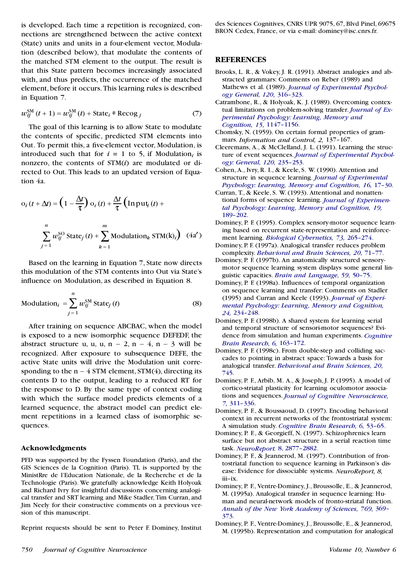is developed. Each time a repetition is recognized, connections are strengthened between the active context (State) units and units in a four-element vector, Modulation (described below), that modulate the contents of the matched STM element to the output. The result is that this State pattern becomes increasingly associated with, and thus predicts, the occurrence of the matched element, before it occurs.This learning rules is described in Equation 7.

$$
w_{ij}^{\text{SM}}(t+1) = w_{ij}^{\text{SM}}(t) + \text{State}_i * \text{Recog}_j \tag{7}
$$

The goal of this learning is to allow State to modulate the contents of specific, predicted STM elements into Out. To permit this, a five-element vector, Modulation, is introduced such that for  $i = 1$  to 5, if Modulation<sub>i</sub> is nonzero, the contents of STM(*i*) are modulated or directed to Out. This leads to an updated version of Equation 4a.

$$
o_i (t + \Delta t) = \left(1 - \frac{\Delta t}{\tau}\right) o_i (t) + \frac{\Delta t}{\tau} \left(\text{Input}_i (t) + \sum_{j=1}^n w_{ij}^{\text{SO}} \text{State}_j (t) + \sum_{k=1}^m \text{Modulation}_k \text{STM}(k)_i\right) (4a')
$$

Based on the learning in Equation 7, State now directs this modulation of the STM contents into Out via State's influence on Modulation, as described in Equation 8.

Modulation<sub>i</sub> = 
$$
\sum_{j=1}^{n} w_{ij}^{SM} \text{State}_{j}(t)
$$
 (8)

After training on sequence ABCBAC, when the model is exposed to a new isomorphic sequence DEFEDF, the abstract structure u, u, u,  $n - 2$ ,  $n - 4$ ,  $n - 3$  will be recognized. After exposure to subsequence DEFE, the active State units will drive the Modulation unit corresponding to the  $n - 4$  STM element, STM(4), directing its contents D to the output, leading to a reduced RT for the response to D. By the same type of context coding with which the surface model predicts elements of a learned sequence, the abstract model can predict element repetitions in a learned class of isomorphic sequences.

#### **Acknowledgments**

PFD was supported by the Fyssen Foundation (Paris), and the GIS Sciences de la Cognition (Paris). TL is supported by the MinistRre de l'Education Nationale, de la Recherche et de la Technologie (Paris). We gratefully acknowledge Keith Holyoak and Richard Ivry for insightful discussions concerning analogical transfer and SRT learning and Mike Stadler,Tim Curran, and Jim Neely for their constructive comments on a previous ver sion of this manuscript.

Reprint requests should be sent to Peter F. Dominey, Institut

des Sciences Cognitives, CNRS UPR 9075, 67, Blvd Pinel, 69675 BRON Cedex, France, or via e-mail: dominey@isc.cnrs.fr.

#### **REFERENCES**

- Brooks, L. R., & Vokey, J. R. (1991). Abstract analogies and abstracted grammars: Comments on Reber (1989) and Mathews et al. (1989). *[Journal of Experimental Psychol](http://mustafa.ingentaselect.com/nw=1/rpsv/cgi-bin/linker?ext=a&reqidx=/0096-3445^28^29120L.316[aid=298182])[ogy General,](http://mustafa.ingentaselect.com/nw=1/rpsv/cgi-bin/linker?ext=a&reqidx=/0096-3445^28^29120L.316[aid=298182]) 120,* 316–323.
- Catrambone, R., & Holyoak, K. J. (1989). Overcoming contextual limitations on problem-solving transfer. *[Journal of Ex](http://mustafa.ingentaselect.com/nw=1/rpsv/cgi-bin/linker?ext=a&reqidx=/0278-7393^28^2915L.1147[aid=308755])perimental Psychology: [Learning, Memory and](http://mustafa.ingentaselect.com/nw=1/rpsv/cgi-bin/linker?ext=a&reqidx=/0278-7393^28^2915L.1147[aid=308755]) Cognition, 15,* [1147–1156.](http://mustafa.ingentaselect.com/nw=1/rpsv/cgi-bin/linker?ext=a&reqidx=/0278-7393^28^2915L.1147[aid=308755])
- Chomsky, N. (1959). On certain formal properties of gram mars. *Information and Control, 2,* 137–167.
- Cleeremans, A., & McClelland, J. L. (1991). Learning the structure of event sequences. *[Journal of Experimental Psychol](http://mustafa.ingentaselect.com/nw=1/rpsv/cgi-bin/linker?ext=a&reqidx=/0096-3445^28^29120L.235[aid=299123,csa=0096-3445^26vol=120^26iss=3^26firstpage=235,erg=126353,nlm=1836490])ogy: General, 120,* [235–253.](http://mustafa.ingentaselect.com/nw=1/rpsv/cgi-bin/linker?ext=a&reqidx=/0096-3445^28^29120L.235[aid=299123,csa=0096-3445^26vol=120^26iss=3^26firstpage=235,erg=126353,nlm=1836490])
- Cohen, A., Ivry, R. I., & Keele, S. W. (1990). Attention and structure in sequence learning. *[Journal of Experimental](http://mustafa.ingentaselect.com/nw=1/rpsv/cgi-bin/linker?ext=a&reqidx=/0278-7393^28^2916L.17[aid=211764]) Psychology: [Learning, Memory and Cognition,](http://mustafa.ingentaselect.com/nw=1/rpsv/cgi-bin/linker?ext=a&reqidx=/0278-7393^28^2916L.17[aid=211764]) 16,* 17–30.
- Curran, T., & Keele, S. W. (1993). Attentional and nonattentional forms of sequence learning. *[Journal of Experimen](http://mustafa.ingentaselect.com/nw=1/rpsv/cgi-bin/linker?ext=a&reqidx=/0278-7393^28^2919L.189[aid=307718])tal Psychology: [Learning, Memory and Cognition,](http://mustafa.ingentaselect.com/nw=1/rpsv/cgi-bin/linker?ext=a&reqidx=/0278-7393^28^2919L.189[aid=307718]) 19,* [189–202.](http://mustafa.ingentaselect.com/nw=1/rpsv/cgi-bin/linker?ext=a&reqidx=/0278-7393^28^2919L.189[aid=307718])
- Dominey, P. F. (1995). Complex sensory-motor sequence learning based on recurrent state-representation and reinforcement learning. *[Biological Cybernetics,](http://mustafa.ingentaselect.com/nw=1/rpsv/cgi-bin/linker?ext=a&reqidx=/0340-1200^28^2973L.265[aid=303735,csa=0340-1200^26vol=73^26iss=3^26firstpage=265,nlm=7548314,springer=1]) 73,* 265–274.
- Dominey, P. F. (1997a). Analogical transfer reduces problem complexity. *[Behavioral and Brain Sciences,](http://mustafa.ingentaselect.com/nw=1/rpsv/cgi-bin/linker?ext=a&reqidx=/0140-525X^28^2920L.71[aid=847035]) 20,* 71–77.
- Dominey, P. F. (1997b). An anatomically structured sensorymotor sequence learning system displays some general linguistic capacities. *[Brain and Language,](http://mustafa.ingentaselect.com/nw=1/rpsv/cgi-bin/linker?ext=a&reqidx=/0093-934X^28^2959L.50[aid=303736]) 59,* 50–75.
- Dominey, P. F. (1998a). Influences of temporal organization on sequence learning and transfer: Comments on Stadler (1995) and Curran and Keele (1993). *[Journal of Experi](http://mustafa.ingentaselect.com/nw=1/rpsv/cgi-bin/linker?ext=a&reqidx=/0278-7393^28^2924L.234[aid=303737])mental Psychology: [Learning, Memory and Cognition,](http://mustafa.ingentaselect.com/nw=1/rpsv/cgi-bin/linker?ext=a&reqidx=/0278-7393^28^2924L.234[aid=303737]) 24,* [234–248.](http://mustafa.ingentaselect.com/nw=1/rpsv/cgi-bin/linker?ext=a&reqidx=/0278-7393^28^2924L.234[aid=303737])
- Dominey, P. F. (1998b). A shared system for learning serial and temporal structure of sensori-motor sequences? Evidence from simulation and human experiments. *[Cognitive](http://mustafa.ingentaselect.com/nw=1/rpsv/cgi-bin/linker?ext=a&reqidx=/0926-6410^28^296L.163[aid=303738,csa=0926-6410^26vol=6^26iss=3^26firstpage=163,nlm=9479067]) [Brain Research,](http://mustafa.ingentaselect.com/nw=1/rpsv/cgi-bin/linker?ext=a&reqidx=/0926-6410^28^296L.163[aid=303738,csa=0926-6410^26vol=6^26iss=3^26firstpage=163,nlm=9479067]) 6,* 163–172.
- Dominey, P. F. (1998c). From double-step and colliding sac cades to pointing in abstract space: Towards a basis for analogical transfer. *[Behavioral and Brain Sciences, 20,](http://mustafa.ingentaselect.com/nw=1/rpsv/cgi-bin/linker?ext=a&reqidx=/0140-525X^28^2920L.745[aid=847036])* [745.](http://mustafa.ingentaselect.com/nw=1/rpsv/cgi-bin/linker?ext=a&reqidx=/0140-525X^28^2920L.745[aid=847036])
- Dominey, P. F., Arbib, M. A., & Joseph, J. P. (1995). A model of cortico-striatal plasticity for learning oculomotor associations and sequences. *[Journal of Cognitive Neuroscience,](http://mustafa.ingentaselect.com/nw=1/rpsv/cgi-bin/linker?ext=a&reqidx=/0898-929X^28^297L.311[aid=303739]) 7,* [311–336.](http://mustafa.ingentaselect.com/nw=1/rpsv/cgi-bin/linker?ext=a&reqidx=/0898-929X^28^297L.311[aid=303739])
- Dominey, P. F., & Boussaoud, D. (1997). Encoding behavioral context in recurrent networks of the frontostriatal system: A simulation study. *[Cognitive Brain Research,](http://mustafa.ingentaselect.com/nw=1/rpsv/cgi-bin/linker?ext=a&reqidx=/0926-6410^28^296L.53[aid=303740,csa=0926-6410^26vol=6^26iss=1^26firstpage=53,nlm=9395849]) 6,* 53–65.
- Dominey, P. F., & Georgieff, N. (1997). Schizophrenics learn surface but not abstract structure in a serial reaction time task. *[NeuroReport.](http://mustafa.ingentaselect.com/nw=1/rpsv/cgi-bin/linker?ext=a&reqidx=/0959-4965^28^298L.2877[aid=303741,nlm=9376523])* 8, 2877–2882.
- Dominey, P. F., & Jeannerod, M. (1997). Contribution of frontostriatal function to sequence learning in Parkinson's dis ease: Evidence for dissociable systems. *NeuroReport, 8,*  $iii - ix$ .
- Dominey, P. F., Ventre-Dominey, J., Broussolle, E., & Jeannerod, M. (1995a). Analogical transfer in sequence learning: Hu man and neural-network models of fronto-striatal function. *[Annals of the New York Academy of Sciences,](http://mustafa.ingentaselect.com/nw=1/rpsv/cgi-bin/linker?ext=a&reqidx=/0077-8923^28^29769L.369[aid=847037,csa=0077-8923^26vol=769^26iss=^26firstpage=369,nlm=8595037]) 769,* 369– [373.](http://mustafa.ingentaselect.com/nw=1/rpsv/cgi-bin/linker?ext=a&reqidx=/0077-8923^28^29769L.369[aid=847037,csa=0077-8923^26vol=769^26iss=^26firstpage=369,nlm=8595037])
- Dominey, P. F., Ventre-Dominey, J., Broussolle, E., & Jeannerod, M. (1995b). Representation and computation for analogical